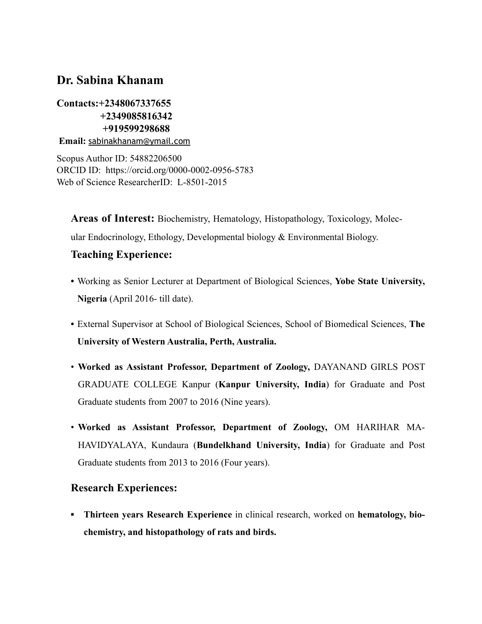# **Dr. Sabina Khanam**

# **Contacts:+2348067337655 +2349085816342 +919599298688**

**Email:** [sabinakhanam@ymail.com](mailto:sabinakhanam@ymail.com)

Scopus Author ID: 54882206500 ORCID ID: <https://orcid.org/0000-0002-0956-5783> Web of Science ResearcherID: L-8501-2015

**Areas of Interest:** Biochemistry, Hematology, Histopathology, Toxicology, Molecular Endocrinology, Ethology, Developmental biology & Environmental Biology.

## **Teaching Experience:**

- **•** Working as Senior Lecturer at Department of Biological Sciences, **Yobe State University, Nigeria** (April 2016- till date).
- **•** External Supervisor at School of Biological Sciences, School of Biomedical Sciences, **The University of Western Australia, Perth, Australia.**
- **Worked as Assistant Professor, Department of Zoology,** DAYANAND GIRLS POST GRADUATE COLLEGE Kanpur (**Kanpur University, India**) for Graduate and Post Graduate students from 2007 to 2016 (Nine years).
- **Worked as Assistant Professor, Department of Zoology,** OM HARIHAR MA-HAVIDYALAYA, Kundaura (**Bundelkhand University, India**) for Graduate and Post Graduate students from 2013 to 2016 (Four years).

## **Research Experiences:**

**▪ Thirteen years Research Experience** in clinical research, worked on **hematology, biochemistry, and histopathology of rats and birds.**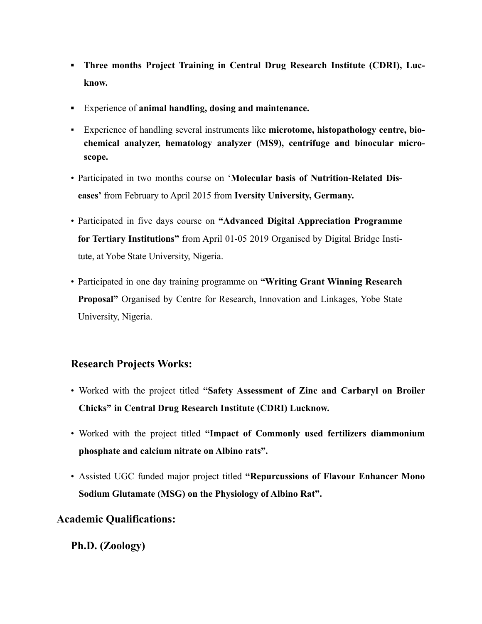- **<u>■ Three months Project Training in Central Drug Research Institute (CDRI), Luc-</u> know.**
- **▪** Experience of **animal handling, dosing and maintenance.**
- Experience of handling several instruments like **microtome, histopathology centre, biochemical analyzer, hematology analyzer (MS9), centrifuge and binocular microscope.**
- Participated in two months course on '**Molecular basis of Nutrition-Related Diseases'** from February to April 2015 from **Iversity University, Germany.**
- Participated in five days course on **"Advanced Digital Appreciation Programme for Tertiary Institutions"** from April 01-05 2019 Organised by Digital Bridge Institute, at Yobe State University, Nigeria.
- Participated in one day training programme on **"Writing Grant Winning Research Proposal"** Organised by Centre for Research, Innovation and Linkages, Yobe State University, Nigeria.

## **Research Projects Works:**

- Worked with the project titled **"Safety Assessment of Zinc and Carbaryl on Broiler Chicks" in Central Drug Research Institute (CDRI) Lucknow.**
- Worked with the project titled **"Impact of Commonly used fertilizers diammonium phosphate and calcium nitrate on Albino rats".**
- Assisted UGC funded major project titled **"Repurcussions of Flavour Enhancer Mono Sodium Glutamate (MSG) on the Physiology of Albino Rat".**

# **Academic Qualifications:**

# **Ph.D. (Zoology)**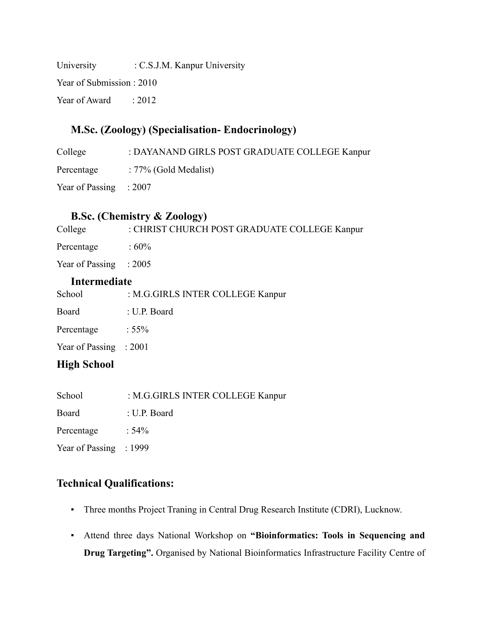University : C.S.J.M. Kanpur University Year of Submission : 2010

Year of Award : 2012

# **M.Sc. (Zoology) (Specialisation- Endocrinology)**

College : DAYANAND GIRLS POST GRADUATE COLLEGE Kanpur Percentage : 77% (Gold Medalist) Year of Passing : 2007

# **B.Sc. (Chemistry & Zoology)**

| College                  | : CHRIST CHURCH POST GRADUATE COLLEGE Kanpur |  |  |
|--------------------------|----------------------------------------------|--|--|
| Percentage               | : $60\%$                                     |  |  |
| Year of Passing $: 2005$ |                                              |  |  |
| Intermediate             |                                              |  |  |
| School                   | : M.G.GIRLS INTER COLLEGE Kanpur             |  |  |

| <u>.</u> |              |
|----------|--------------|
| Board    | : U.P. Board |

| Percentage | : $55\%$ |
|------------|----------|

Year of Passing : 2001

## **High School**

| School<br>: M.G.GIRLS INTER COLLEGE Kanpur |  |
|--------------------------------------------|--|
|--------------------------------------------|--|

Board : U.P. Board

Percentage : 54%

Year of Passing : 1999

# **Technical Qualifications:**

- Three months Project Traning in Central Drug Research Institute (CDRI), Lucknow.
- Attend three days National Workshop on **"Bioinformatics: Tools in Sequencing and Drug Targeting".** Organised by National Bioinformatics Infrastructure Facility Centre of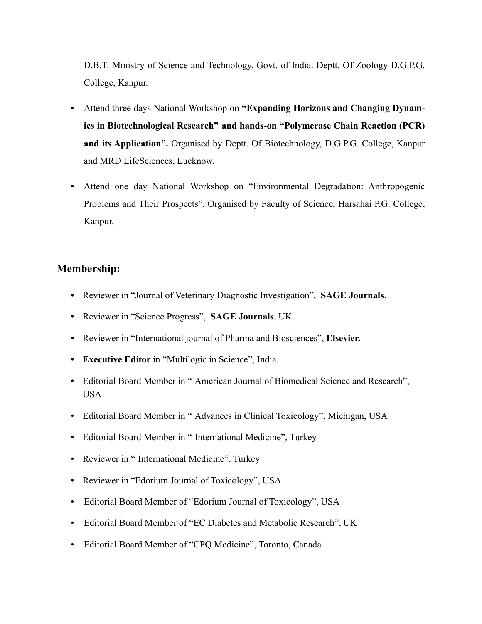D.B.T. Ministry of Science and Technology, Govt. of India. Deptt. Of Zoology D.G.P.G. College, Kanpur.

- Attend three days National Workshop on **"Expanding Horizons and Changing Dynamics in Biotechnological Research" and hands-on "Polymerase Chain Reaction (PCR) and its Application".** Organised by Deptt. Of Biotechnology, D.G.P.G. College, Kanpur and MRD LifeSciences, Lucknow.
- Attend one day National Workshop on "Environmental Degradation: Anthropogenic Problems and Their Prospects". Organised by Faculty of Science, Harsahai P.G. College, Kanpur.

### **Membership:**

- **•** Reviewer in "Journal of Veterinary Diagnostic Investigation", **SAGE Journals**.
- **•** Reviewer in "Science Progress", **SAGE Journals**, UK.
- **•** Reviewer in "International journal of Pharma and Biosciences", **Elsevier.**
- **• Executive Editor** in "Multilogic in Science", India.
- **•** Editorial Board Member in " American Journal of Biomedical Science and Research", USA
- Editorial Board Member in " Advances in Clinical Toxicology", Michigan, USA
- Editorial Board Member in " International Medicine", Turkey
- Reviewer in "International Medicine", Turkey
- **•** Reviewer in "Edorium Journal of Toxicology", USA
- Editorial Board Member of "Edorium Journal of Toxicology", USA
- Editorial Board Member of "EC Diabetes and Metabolic Research", UK
- Editorial Board Member of "CPQ Medicine", Toronto, Canada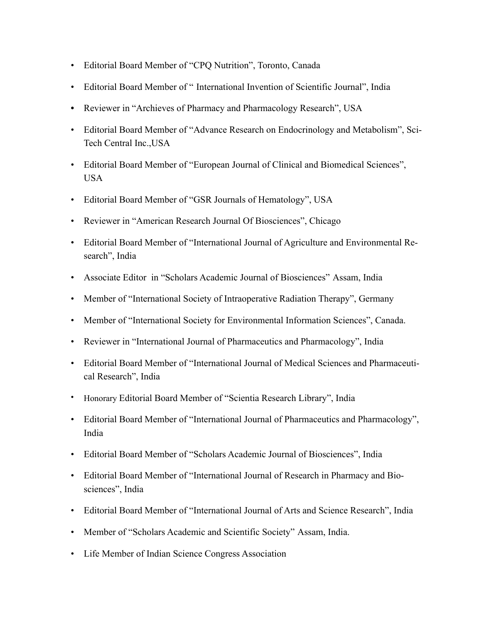- Editorial Board Member of "CPQ Nutrition", Toronto, Canada
- Editorial Board Member of " International Invention of Scientific Journal", India
- **•** Reviewer in "Archieves of Pharmacy and Pharmacology Research", USA
- Editorial Board Member of "Advance Research on Endocrinology and Metabolism", Sci-Tech Central Inc.,USA
- Editorial Board Member of "European Journal of Clinical and Biomedical Sciences", USA
- Editorial Board Member of "GSR Journals of Hematology", USA
- Reviewer in "American Research Journal Of Biosciences", Chicago
- Editorial Board Member of "International Journal of Agriculture and Environmental Research", India
- Associate Editor in "Scholars Academic Journal of Biosciences" Assam, India
- Member of "International Society of Intraoperative Radiation Therapy", Germany
- Member of "International Society for Environmental Information Sciences", Canada.
- Reviewer in "International Journal of Pharmaceutics and Pharmacology", India
- Editorial Board Member of "International Journal of Medical Sciences and Pharmaceutical Research", India
- Honorary Editorial Board Member of "Scientia Research Library", India
- Editorial Board Member of "International Journal of Pharmaceutics and Pharmacology", India
- Editorial Board Member of "Scholars Academic Journal of Biosciences", India
- Editorial Board Member of "International Journal of Research in Pharmacy and Biosciences", India
- Editorial Board Member of "International Journal of Arts and Science Research", India
- Member of "Scholars Academic and Scientific Society" Assam, India.
- Life Member of Indian Science Congress Association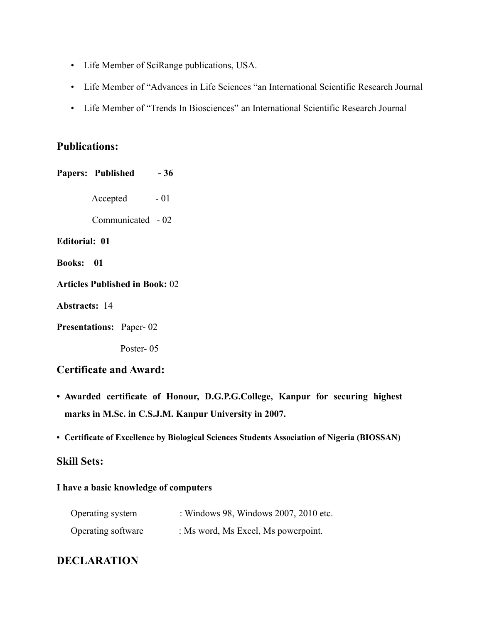- Life Member of SciRange publications, USA.
- Life Member of "Advances in Life Sciences "an International Scientific Research Journal
- Life Member of "Trends In Biosciences" an International Scientific Research Journal

## **Publications:**

Papers: Published - 36 Accepted  $-01$  Communicated - 02 **Editorial: 01 Books: 01 Articles Published in Book:** 02 **Abstracts:** 14

**Presentations:** Paper- 02

Poster- 05

## **Certificate and Award:**

- **• Awarded certificate of Honour, D.G.P.G.College, Kanpur for securing highest marks in M.Sc. in C.S.J.M. Kanpur University in 2007.**
- **• Certificate of Excellence by Biological Sciences Students Association of Nigeria (BIOSSAN)**

## **Skill Sets:**

#### **I have a basic knowledge of computers**

| Operating system   | : Windows 98, Windows 2007, 2010 etc. |
|--------------------|---------------------------------------|
| Operating software | : Ms word, Ms Excel, Ms powerpoint.   |

## **DECLARATION**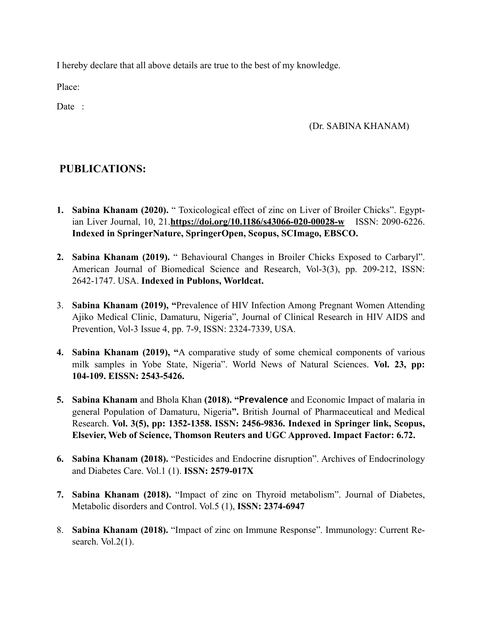I hereby declare that all above details are true to the best of my knowledge.

Place:

Date :

### (Dr. SABINA KHANAM)

## **PUBLICATIONS:**

- **1. Sabina Khanam (2020).** " Toxicological effect of zinc on Liver of Broiler Chicks". Egyptian Liver Journal, 10, 21.**<https://doi.org/10.1186/s43066-020-00028-w>** ISSN: 2090-6226. **Indexed in SpringerNature, SpringerOpen, Scopus, SCImago, EBSCO.**
- **2. Sabina Khanam (2019).** " Behavioural Changes in Broiler Chicks Exposed to Carbaryl". American Journal of Biomedical Science and Research, Vol-3(3), pp. 209-212, ISSN: 2642-1747. USA. **Indexed in Publons, Worldcat.**
- 3. **Sabina Khanam (2019), "**Prevalence of HIV Infection Among Pregnant Women Attending Ajiko Medical Clinic, Damaturu, Nigeria", Journal of Clinical Research in HIV AIDS and Prevention, Vol-3 Issue 4, pp. 7-9, ISSN: 2324-7339, USA.
- **4. Sabina Khanam (2019), "**A comparative study of some chemical components of various milk samples in Yobe State, Nigeria". World News of Natural Sciences. **Vol. 23, pp: 104-109. EISSN: 2543-5426.**
- **5. Sabina Khanam** and Bhola Khan **(2018). "Prevalence** and Economic Impact of malaria in general Population of Damaturu, Nigeria**".** British Journal of Pharmaceutical and Medical Research. **Vol. 3(5), pp: 1352-1358. ISSN: 2456-9836. Indexed in Springer link, Scopus, Elsevier, Web of Science, Thomson Reuters and UGC Approved. Impact Factor: 6.72.**
- **6. Sabina Khanam (2018).** "Pesticides and Endocrine disruption". Archives of Endocrinology and Diabetes Care. Vol.1 (1). **ISSN: 2579-017X**
- **7. Sabina Khanam (2018).** "Impact of zinc on Thyroid metabolism". Journal of Diabetes, Metabolic disorders and Control. Vol.5 (1), **ISSN: 2374-6947**
- 8. **Sabina Khanam (2018).** "Impact of zinc on Immune Response". Immunology: Current Research. Vol. $2(1)$ .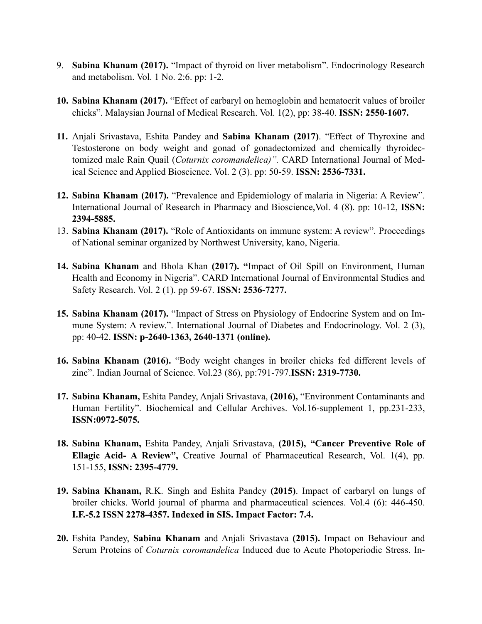- 9. **Sabina Khanam (2017).** "Impact of thyroid on liver metabolism". Endocrinology Research and metabolism. Vol. 1 No. 2:6. pp: 1-2.
- **10. Sabina Khanam (2017).** "Effect of carbaryl on hemoglobin and hematocrit values of broiler chicks". Malaysian Journal of Medical Research. Vol. 1(2), pp: 38-40. **ISSN: 2550-1607.**
- **11.** Anjali Srivastava, Eshita Pandey and **Sabina Khanam (2017)**. "Effect of Thyroxine and Testosterone on body weight and gonad of gonadectomized and chemically thyroidectomized male Rain Quail (*Coturnix coromandelica)".* CARD International Journal of Medical Science and Applied Bioscience. Vol. 2 (3). pp: 50-59. **ISSN: 2536-7331.**
- **12. Sabina Khanam (2017).** "Prevalence and Epidemiology of malaria in Nigeria: A Review". International Journal of Research in Pharmacy and Bioscience,Vol. 4 (8). pp: 10-12, **ISSN: 2394-5885.**
- 13. **Sabina Khanam (2017).** "Role of Antioxidants on immune system: A review". Proceedings of National seminar organized by Northwest University, kano, Nigeria.
- **14. Sabina Khanam** and Bhola Khan **(2017). "**Impact of Oil Spill on Environment, Human Health and Economy in Nigeria". CARD International Journal of Environmental Studies and Safety Research. Vol. 2 (1). pp 59-67. **ISSN: 2536-7277.**
- **15. Sabina Khanam (2017).** "Impact of Stress on Physiology of Endocrine System and on Immune System: A review.". International Journal of Diabetes and Endocrinology. Vol. 2 (3), pp: 40-42. **ISSN: p-2640-1363, 2640-1371 (online).**
- **16. Sabina Khanam (2016).** "Body weight changes in broiler chicks fed different levels of zinc". Indian Journal of Science. Vol.23 (86), pp:791-797.**ISSN: 2319-7730.**
- **17. Sabina Khanam,** Eshita Pandey, Anjali Srivastava, **(2016),** "Environment Contaminants and Human Fertility". Biochemical and Cellular Archives. Vol.16-supplement 1, pp.231-233, **ISSN:0972-5075.**
- **18. Sabina Khanam,** Eshita Pandey, Anjali Srivastava, **(2015), "Cancer Preventive Role of Ellagic Acid- A Review",** Creative Journal of Pharmaceutical Research, Vol. 1(4), pp. 151-155, **ISSN: 2395-4779.**
- **19. Sabina Khanam,** R.K. Singh and Eshita Pandey **(2015)**. Impact of carbaryl on lungs of broiler chicks. World journal of pharma and pharmaceutical sciences. Vol.4 (6): 446-450. **I.F.-5.2 ISSN 2278-4357. Indexed in SIS. Impact Factor: 7.4.**
- **20.** Eshita Pandey, **Sabina Khanam** and Anjali Srivastava **(2015).** Impact on Behaviour and Serum Proteins of *Coturnix coromandelica* Induced due to Acute Photoperiodic Stress. In-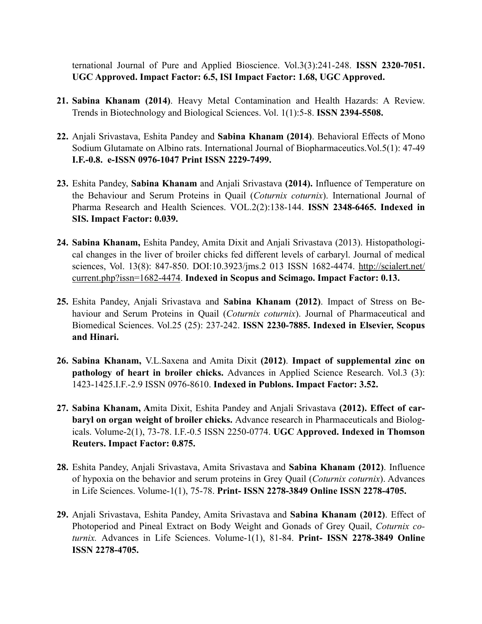ternational Journal of Pure and Applied Bioscience. Vol.3(3):241-248. **ISSN 2320-7051. UGC Approved. Impact Factor: 6.5, ISI Impact Factor: 1.68, UGC Approved.** 

- **21. Sabina Khanam (2014)**. Heavy Metal Contamination and Health Hazards: A Review. Trends in Biotechnology and Biological Sciences. Vol. 1(1):5-8. **ISSN 2394-5508.**
- **22.** Anjali Srivastava, Eshita Pandey and **Sabina Khanam (2014)**. Behavioral Effects of Mono Sodium Glutamate on Albino rats. International Journal of Biopharmaceutics.Vol.5(1): 47-49 **I.F.-0.8. e-ISSN 0976-1047 Print ISSN 2229-7499.**
- **23.** Eshita Pandey, **Sabina Khanam** and Anjali Srivastava **(2014).** Influence of Temperature on the Behaviour and Serum Proteins in Quail (*Coturnix coturnix*). International Journal of Pharma Research and Health Sciences. VOL.2(2):138-144. **ISSN 2348-6465. Indexed in SIS. Impact Factor: 0.039.**
- **24. Sabina Khanam,** Eshita Pandey, Amita Dixit and Anjali Srivastava (2013). Histopathological changes in the liver of broiler chicks fed different levels of carbaryl. Journal of medical sciences, Vol. 13(8): 847-850. [DOI:10.3923/jms.2 013 ISSN 1682-4474. http://scialert.net/](http://scialert.net/current.php?issn=1682-4474) current.php?issn=1682-4474. **Indexed in Scopus and Scimago. Impact Factor: 0.13.**
- **25.** Eshita Pandey, Anjali Srivastava and **Sabina Khanam (2012)**. Impact of Stress on Behaviour and Serum Proteins in Quail (*Coturnix coturnix*). Journal of Pharmaceutical and Biomedical Sciences. Vol.25 (25): 237-242. **ISSN 2230-7885. Indexed in Elsevier, Scopus and Hinari.**
- **26. Sabina Khanam,** V.L.Saxena and Amita Dixit **(2012)**. **Impact of supplemental zinc on pathology of heart in broiler chicks.** Advances in Applied Science Research. Vol.3 (3): 1423-1425.I.F.-2.9 ISSN 0976-8610. **Indexed in Publons. Impact Factor: 3.52.**
- **27. Sabina Khanam, A**mita Dixit, Eshita Pandey and Anjali Srivastava **(2012). Effect of carbaryl on organ weight of broiler chicks.** Advance research in Pharmaceuticals and Biologicals. Volume-2(1), 73-78. I.F.-0.5 ISSN 2250-0774. **UGC Approved. Indexed in Thomson Reuters. Impact Factor: 0.875.**
- **28.** Eshita Pandey, Anjali Srivastava, Amita Srivastava and **Sabina Khanam (2012)**. Influence of hypoxia on the behavior and serum proteins in Grey Quail (*Coturnix coturnix*). Advances in Life Sciences. Volume-1(1), 75-78. **Print- ISSN 2278-3849 Online ISSN 2278-4705.**
- **29.** Anjali Srivastava, Eshita Pandey, Amita Srivastava and **Sabina Khanam (2012)**. Effect of Photoperiod and Pineal Extract on Body Weight and Gonads of Grey Quail, *Coturnix coturnix.* Advances in Life Sciences. Volume-1(1), 81-84. **Print- ISSN 2278-3849 Online ISSN 2278-4705.**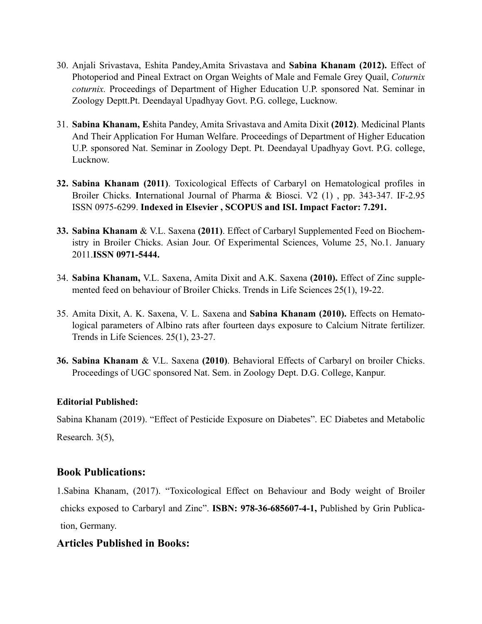- 30. Anjali Srivastava, Eshita Pandey,Amita Srivastava and **Sabina Khanam (2012).** Effect of Photoperiod and Pineal Extract on Organ Weights of Male and Female Grey Quail, *Coturnix coturnix.* Proceedings of Department of Higher Education U.P. sponsored Nat. Seminar in Zoology Deptt.Pt. Deendayal Upadhyay Govt. P.G. college, Lucknow.
- 31. **Sabina Khanam, E**shita Pandey, Amita Srivastava and Amita Dixit **(2012)**. Medicinal Plants And Their Application For Human Welfare. Proceedings of Department of Higher Education U.P. sponsored Nat. Seminar in Zoology Dept. Pt. Deendayal Upadhyay Govt. P.G. college, Lucknow.
- **32. Sabina Khanam (2011)**. Toxicological Effects of Carbaryl on Hematological profiles in Broiler Chicks. **I**nternational Journal of Pharma & Biosci. V2 (1) , pp. 343-347. IF-2.95 ISSN 0975-6299. **Indexed in Elsevier , SCOPUS and ISI. Impact Factor: 7.291.**
- **33. Sabina Khanam** & V.L. Saxena **(2011)**. Effect of Carbaryl Supplemented Feed on Biochemistry in Broiler Chicks. Asian Jour. Of Experimental Sciences, Volume 25, No.1. January 2011.**ISSN 0971-5444.**
- 34. **Sabina Khanam,** V.L. Saxena, Amita Dixit and A.K. Saxena **(2010).** Effect of Zinc supplemented feed on behaviour of Broiler Chicks. Trends in Life Sciences 25(1), 19-22.
- 35. Amita Dixit, A. K. Saxena, V. L. Saxena and **Sabina Khanam (2010).** Effects on Hematological parameters of Albino rats after fourteen days exposure to Calcium Nitrate fertilizer. Trends in Life Sciences. 25(1), 23-27.
- **36. Sabina Khanam** & V.L. Saxena **(2010)**. Behavioral Effects of Carbaryl on broiler Chicks. Proceedings of UGC sponsored Nat. Sem. in Zoology Dept. D.G. College, Kanpur.

### **Editorial Published:**

Sabina Khanam (2019). "Effect of Pesticide Exposure on Diabetes". EC Diabetes and Metabolic Research. 3(5),

## **Book Publications:**

1.Sabina Khanam, (2017). "Toxicological Effect on Behaviour and Body weight of Broiler chicks exposed to Carbaryl and Zinc". **ISBN: 978-36-685607-4-1,** Published by Grin Publication, Germany.

## **Articles Published in Books:**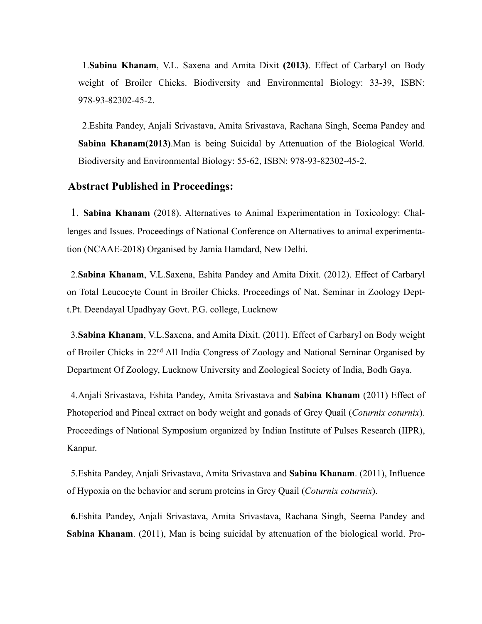1.**Sabina Khanam**, V.L. Saxena and Amita Dixit **(2013)**. Effect of Carbaryl on Body weight of Broiler Chicks. Biodiversity and Environmental Biology: 33-39, ISBN: 978-93-82302-45-2.

2.Eshita Pandey, Anjali Srivastava, Amita Srivastava, Rachana Singh, Seema Pandey and **Sabina Khanam(2013)**.Man is being Suicidal by Attenuation of the Biological World. Biodiversity and Environmental Biology: 55-62, ISBN: 978-93-82302-45-2.

#### **Abstract Published in Proceedings:**

1. **Sabina Khanam** (2018). Alternatives to Animal Experimentation in Toxicology: Challenges and Issues. Proceedings of National Conference on Alternatives to animal experimentation (NCAAE-2018) Organised by Jamia Hamdard, New Delhi.

2.**Sabina Khanam**, V.L.Saxena, Eshita Pandey and Amita Dixit. (2012). Effect of Carbaryl on Total Leucocyte Count in Broiler Chicks. Proceedings of Nat. Seminar in Zoology Deptt.Pt. Deendayal Upadhyay Govt. P.G. college, Lucknow

3.**Sabina Khanam**, V.L.Saxena, and Amita Dixit. (2011). Effect of Carbaryl on Body weight of Broiler Chicks in 22nd All India Congress of Zoology and National Seminar Organised by Department Of Zoology, Lucknow University and Zoological Society of India, Bodh Gaya.

4.Anjali Srivastava, Eshita Pandey, Amita Srivastava and **Sabina Khanam** (2011) Effect of Photoperiod and Pineal extract on body weight and gonads of Grey Quail (*Coturnix coturnix*). Proceedings of National Symposium organized by Indian Institute of Pulses Research (IIPR), Kanpur.

5.Eshita Pandey, Anjali Srivastava, Amita Srivastava and **Sabina Khanam**. (2011), Influence of Hypoxia on the behavior and serum proteins in Grey Quail (*Coturnix coturnix*).

**6.**Eshita Pandey, Anjali Srivastava, Amita Srivastava, Rachana Singh, Seema Pandey and **Sabina Khanam**. (2011), Man is being suicidal by attenuation of the biological world. Pro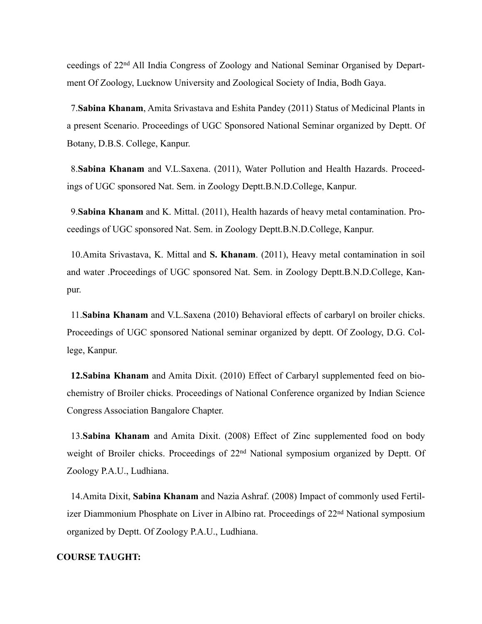ceedings of 22nd All India Congress of Zoology and National Seminar Organised by Department Of Zoology, Lucknow University and Zoological Society of India, Bodh Gaya.

7.**Sabina Khanam**, Amita Srivastava and Eshita Pandey (2011) Status of Medicinal Plants in a present Scenario. Proceedings of UGC Sponsored National Seminar organized by Deptt. Of Botany, D.B.S. College, Kanpur.

8.**Sabina Khanam** and V.L.Saxena. (2011), Water Pollution and Health Hazards. Proceedings of UGC sponsored Nat. Sem. in Zoology Deptt.B.N.D.College, Kanpur.

9.**Sabina Khanam** and K. Mittal. (2011), Health hazards of heavy metal contamination. Proceedings of UGC sponsored Nat. Sem. in Zoology Deptt.B.N.D.College, Kanpur.

10.Amita Srivastava, K. Mittal and **S. Khanam**. (2011), Heavy metal contamination in soil and water .Proceedings of UGC sponsored Nat. Sem. in Zoology Deptt.B.N.D.College, Kanpur.

11.**Sabina Khanam** and V.L.Saxena (2010) Behavioral effects of carbaryl on broiler chicks. Proceedings of UGC sponsored National seminar organized by deptt. Of Zoology, D.G. College, Kanpur.

**12.Sabina Khanam** and Amita Dixit. (2010) Effect of Carbaryl supplemented feed on biochemistry of Broiler chicks. Proceedings of National Conference organized by Indian Science Congress Association Bangalore Chapter.

13.**Sabina Khanam** and Amita Dixit. (2008) Effect of Zinc supplemented food on body weight of Broiler chicks. Proceedings of 22nd National symposium organized by Deptt. Of Zoology P.A.U., Ludhiana.

14.Amita Dixit, **Sabina Khanam** and Nazia Ashraf. (2008) Impact of commonly used Fertilizer Diammonium Phosphate on Liver in Albino rat. Proceedings of 22nd National symposium organized by Deptt. Of Zoology P.A.U., Ludhiana.

#### **COURSE TAUGHT:**